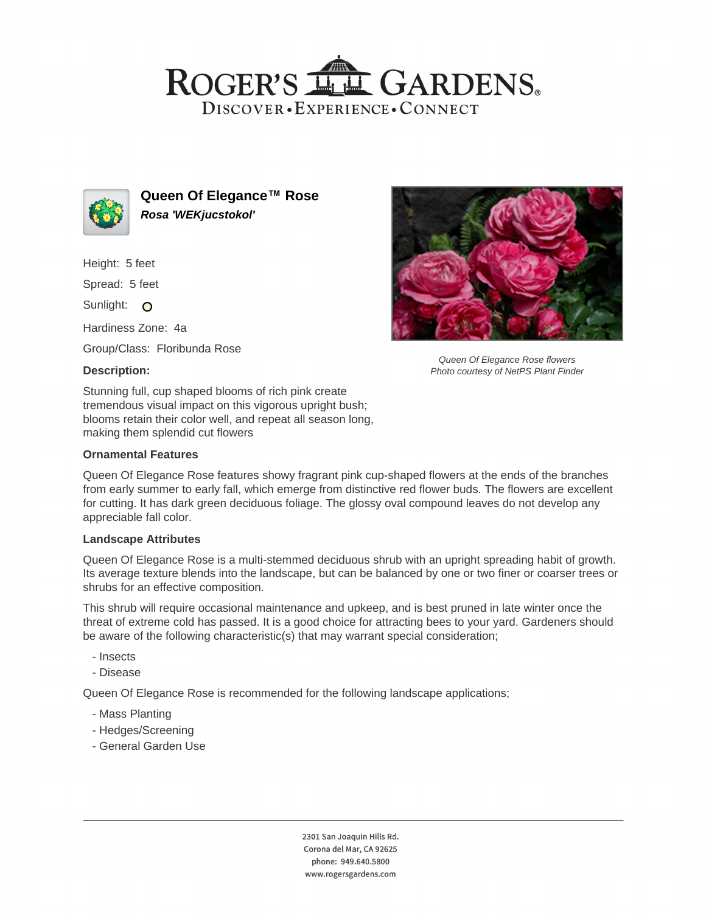# ROGER'S LL GARDENS. DISCOVER · EXPERIENCE · CONNECT



**Queen Of Elegance™ Rose Rosa 'WEKjucstokol'**

Height: 5 feet

Spread: 5 feet

Sunlight: O

Hardiness Zone: 4a

Group/Class: Floribunda Rose

### **Description:**

Stunning full, cup shaped blooms of rich pink create tremendous visual impact on this vigorous upright bush; blooms retain their color well, and repeat all season long, making them splendid cut flowers

#### **Ornamental Features**

Queen Of Elegance Rose features showy fragrant pink cup-shaped flowers at the ends of the branches from early summer to early fall, which emerge from distinctive red flower buds. The flowers are excellent for cutting. It has dark green deciduous foliage. The glossy oval compound leaves do not develop any appreciable fall color.

#### **Landscape Attributes**

Queen Of Elegance Rose is a multi-stemmed deciduous shrub with an upright spreading habit of growth. Its average texture blends into the landscape, but can be balanced by one or two finer or coarser trees or shrubs for an effective composition.

This shrub will require occasional maintenance and upkeep, and is best pruned in late winter once the threat of extreme cold has passed. It is a good choice for attracting bees to your yard. Gardeners should be aware of the following characteristic(s) that may warrant special consideration;

- Insects
- Disease

Queen Of Elegance Rose is recommended for the following landscape applications;

- Mass Planting
- Hedges/Screening
- General Garden Use



Queen Of Elegance Rose flowers Photo courtesy of NetPS Plant Finder

2301 San Joaquin Hills Rd. Corona del Mar, CA 92625 phone: 949.640.5800 www.rogersgardens.com